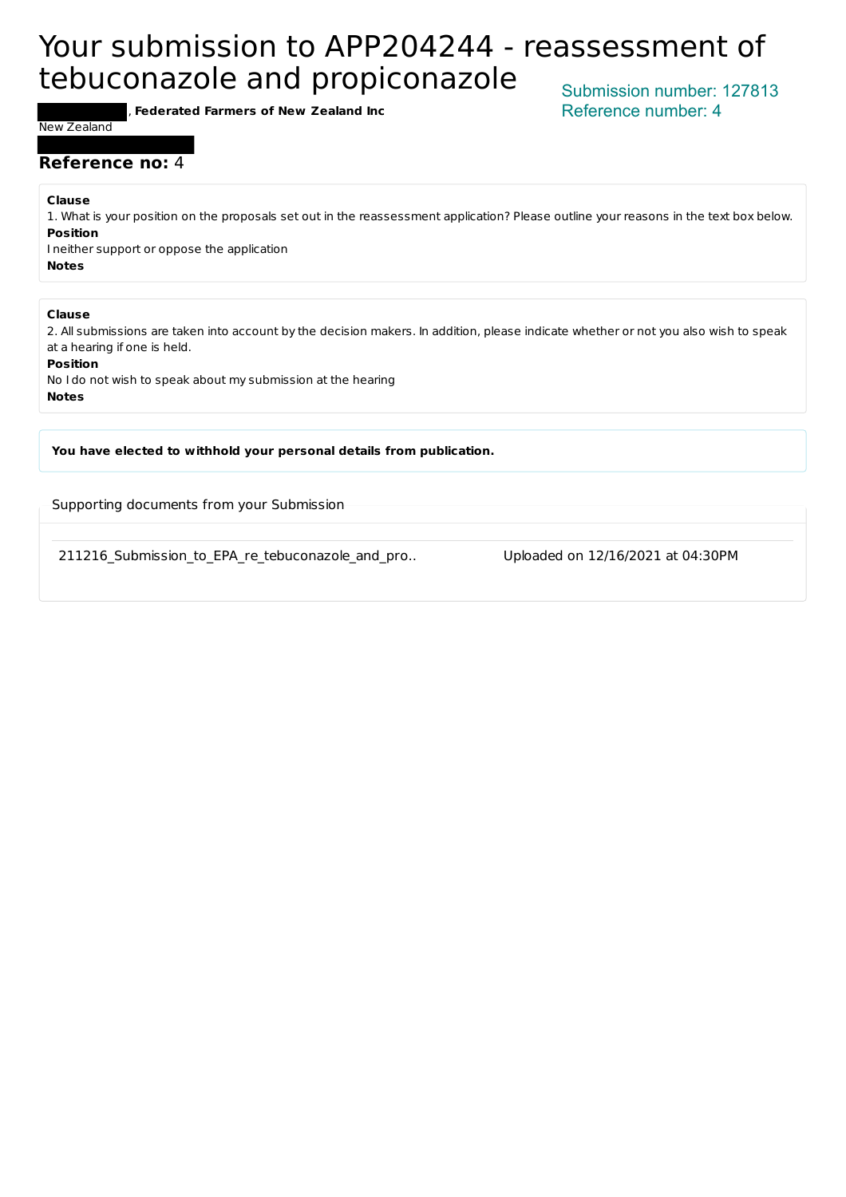# Your submission to APP204244 - reassessment of tebuconazole and propiconazole

, **Federated Farmers of New Zealand Inc**

Submission number: 127813 Reference number: 4

#### New Zealand

#### **Reference no:** 4

**Clause**

1. What is your position on the proposals set out in the reassessment application? Please outline your reasons in the text box below. **Position** I neither support or oppose the application

**Notes**

#### **Clause**

2. All submissions are taken into account by the decision makers. In addition, please indicate whether or not you also wish to speak at a hearing if one is held.

**Position**

No I do not wish to speak about my submission at the hearing **Notes**

You have elected to withhold your personal details from publication.

Supporting documents from your Submission

211216 Submission to EPA re tebuconazole and pro.. Uploaded on 12/16/2021 at 04:30PM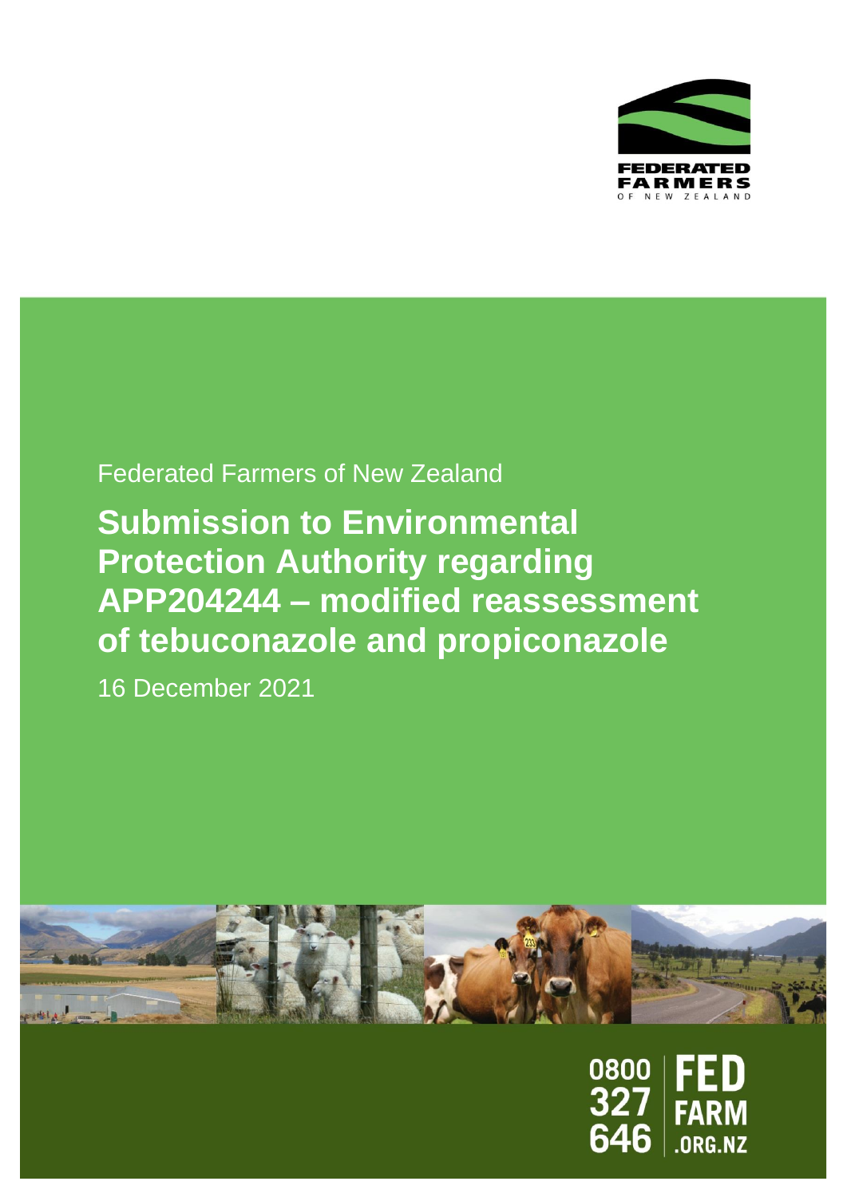

# Federated Farmers of New Zealand

# **Submission to Environmental Protection Authority regarding APP204244 – modified reassessment of tebuconazole and propiconazole**

16 December 2021



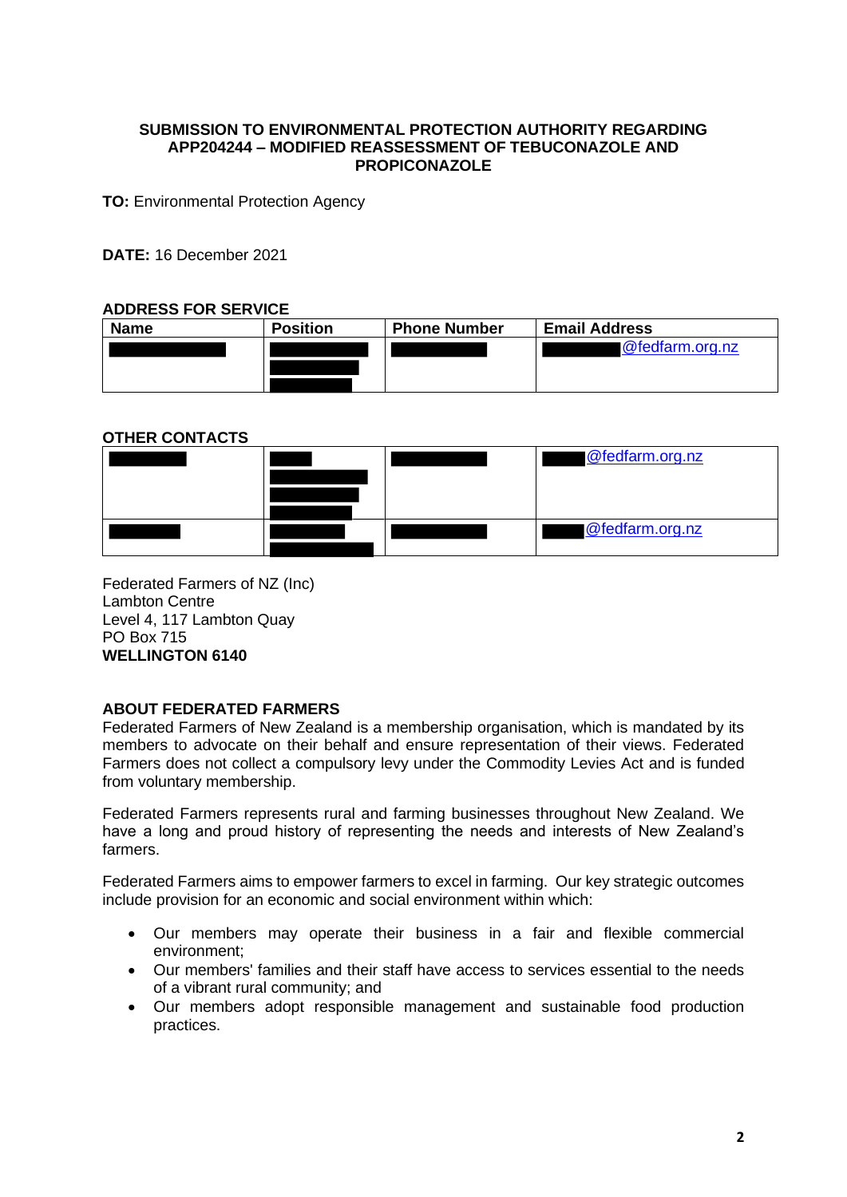#### **SUBMISSION TO ENVIRONMENTAL PROTECTION AUTHORITY REGARDING APP204244 – MODIFIED REASSESSMENT OF TEBUCONAZOLE AND PROPICONAZOLE**

**TO: Environmental Protection Agency** 

**DATE:** 16 December 2021

#### **ADDRESS FOR SERVICE**

| <b>Name</b> | <b>Position</b> | <b>Phone Number</b> | <b>Email Address</b> |
|-------------|-----------------|---------------------|----------------------|
|             |                 |                     | @fedfarm.org.nz      |
|             |                 |                     |                      |
|             |                 |                     |                      |

#### **OTHER CONTACTS**



Federated Farmers of NZ (Inc) Lambton Centre Level 4, 117 Lambton Quay PO Box 715 **WELLINGTON 6140**

#### **ABOUT FEDERATED FARMERS**

Federated Farmers of New Zealand is a membership organisation, which is mandated by its members to advocate on their behalf and ensure representation of their views. Federated Farmers does not collect a compulsory levy under the Commodity Levies Act and is funded from voluntary membership.

Federated Farmers represents rural and farming businesses throughout New Zealand. We have a long and proud history of representing the needs and interests of New Zealand's farmers.

Federated Farmers aims to empower farmers to excel in farming. Our key strategic outcomes include provision for an economic and social environment within which:

- Our members may operate their business in a fair and flexible commercial environment;
- Our members' families and their staff have access to services essential to the needs of a vibrant rural community; and
- Our members adopt responsible management and sustainable food production practices.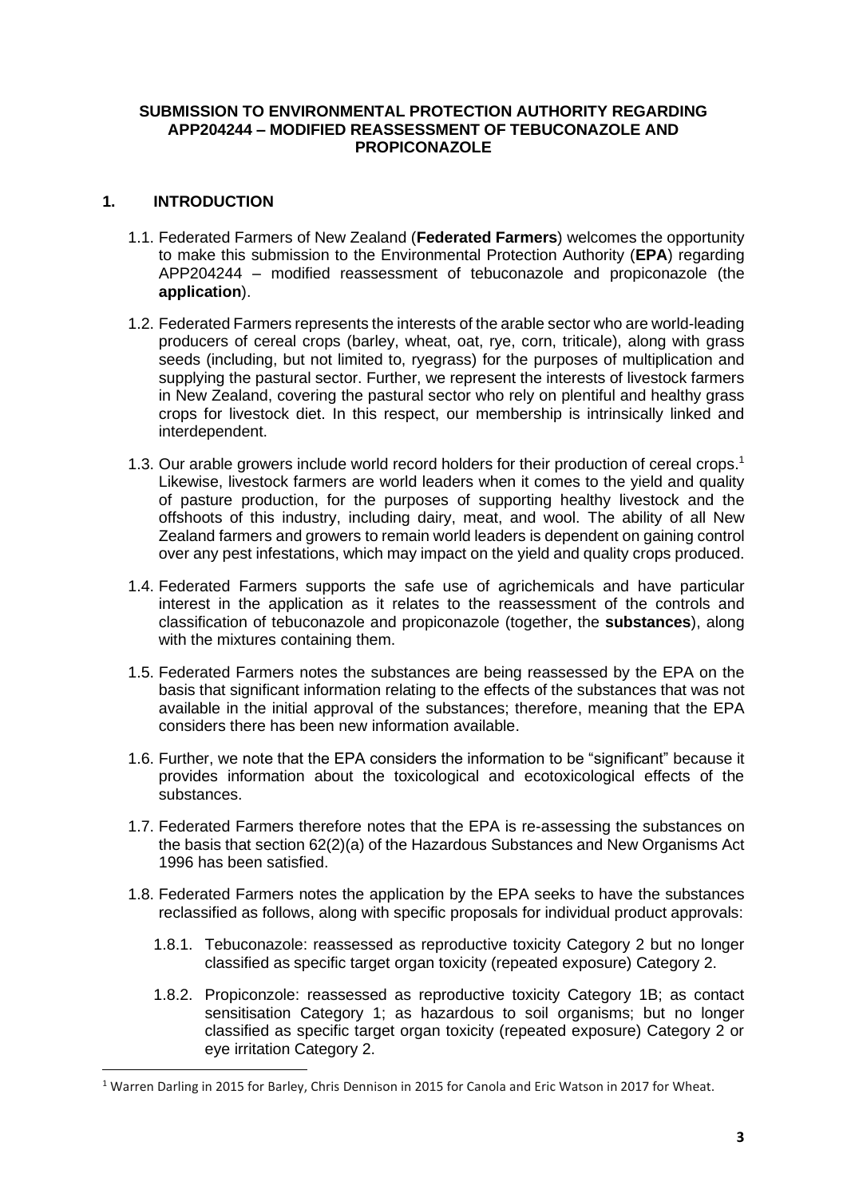#### **SUBMISSION TO ENVIRONMENTAL PROTECTION AUTHORITY REGARDING APP204244 – MODIFIED REASSESSMENT OF TEBUCONAZOLE AND PROPICONAZOLE**

### **1. INTRODUCTION**

- 1.1. Federated Farmers of New Zealand (**Federated Farmers**) welcomes the opportunity to make this submission to the Environmental Protection Authority (**EPA**) regarding APP204244 – modified reassessment of tebuconazole and propiconazole (the **application**).
- 1.2. Federated Farmers represents the interests of the arable sector who are world-leading producers of cereal crops (barley, wheat, oat, rye, corn, triticale), along with grass seeds (including, but not limited to, ryegrass) for the purposes of multiplication and supplying the pastural sector. Further, we represent the interests of livestock farmers in New Zealand, covering the pastural sector who rely on plentiful and healthy grass crops for livestock diet. In this respect, our membership is intrinsically linked and interdependent.
- 1.3. Our arable growers include world record holders for their production of cereal crops. 1 Likewise, livestock farmers are world leaders when it comes to the yield and quality of pasture production, for the purposes of supporting healthy livestock and the offshoots of this industry, including dairy, meat, and wool. The ability of all New Zealand farmers and growers to remain world leaders is dependent on gaining control over any pest infestations, which may impact on the yield and quality crops produced.
- 1.4. Federated Farmers supports the safe use of agrichemicals and have particular interest in the application as it relates to the reassessment of the controls and classification of tebuconazole and propiconazole (together, the **substances**), along with the mixtures containing them.
- 1.5. Federated Farmers notes the substances are being reassessed by the EPA on the basis that significant information relating to the effects of the substances that was not available in the initial approval of the substances; therefore, meaning that the EPA considers there has been new information available.
- 1.6. Further, we note that the EPA considers the information to be "significant" because it provides information about the toxicological and ecotoxicological effects of the substances.
- 1.7. Federated Farmers therefore notes that the EPA is re-assessing the substances on the basis that section 62(2)(a) of the Hazardous Substances and New Organisms Act 1996 has been satisfied.
- 1.8. Federated Farmers notes the application by the EPA seeks to have the substances reclassified as follows, along with specific proposals for individual product approvals:
	- 1.8.1. Tebuconazole: reassessed as reproductive toxicity Category 2 but no longer classified as specific target organ toxicity (repeated exposure) Category 2.
	- 1.8.2. Propiconzole: reassessed as reproductive toxicity Category 1B; as contact sensitisation Category 1; as hazardous to soil organisms; but no longer classified as specific target organ toxicity (repeated exposure) Category 2 or eye irritation Category 2.

<sup>&</sup>lt;sup>1</sup> Warren Darling in 2015 for Barley, Chris Dennison in 2015 for Canola and Eric Watson in 2017 for Wheat.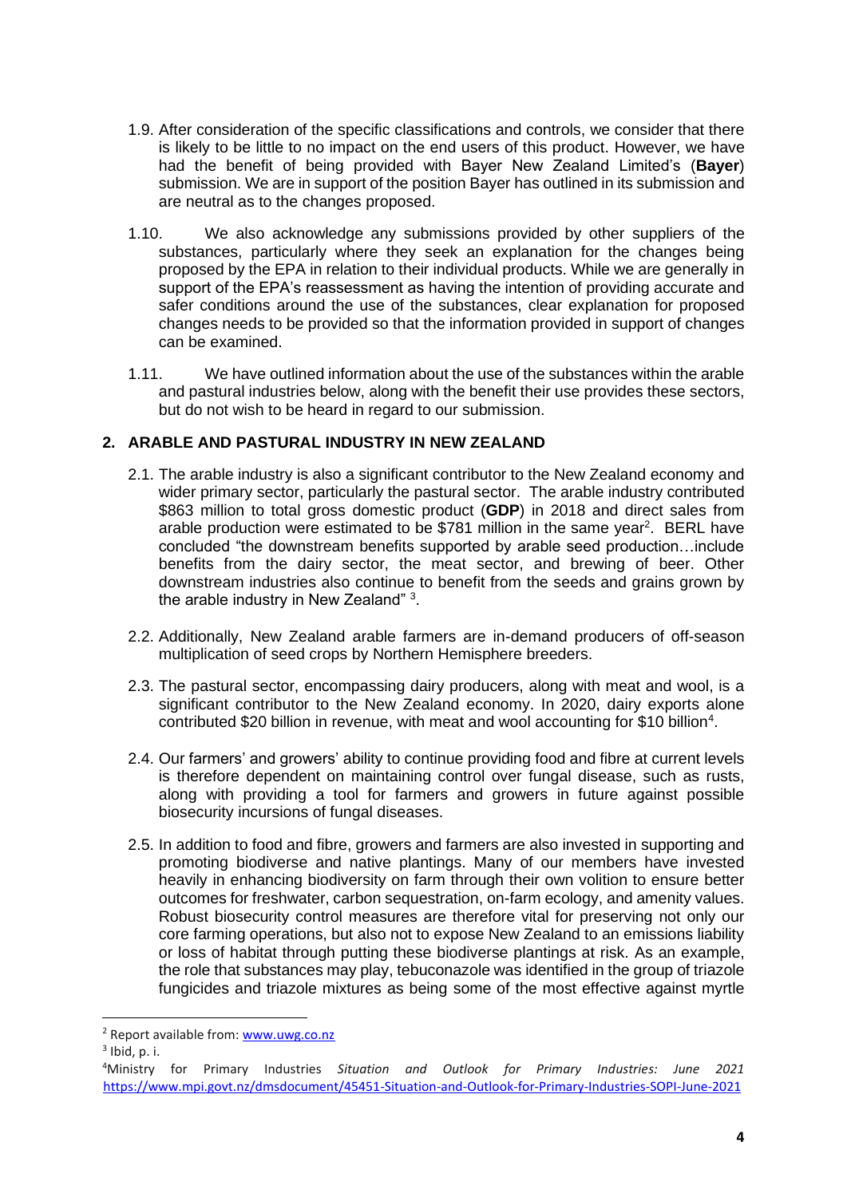- 1.9. After consideration of the specific classifications and controls, we consider that there is likely to be little to no impact on the end users of this product. However, we have had the benefit of being provided with Bayer New Zealand Limited's (**Bayer**) submission. We are in support of the position Bayer has outlined in its submission and are neutral as to the changes proposed.
- 1.10. We also acknowledge any submissions provided by other suppliers of the substances, particularly where they seek an explanation for the changes being proposed by the EPA in relation to their individual products. While we are generally in support of the EPA's reassessment as having the intention of providing accurate and safer conditions around the use of the substances, clear explanation for proposed changes needs to be provided so that the information provided in support of changes can be examined.
- 1.11. We have outlined information about the use of the substances within the arable and pastural industries below, along with the benefit their use provides these sectors, but do not wish to be heard in regard to our submission.

#### **2. ARABLE AND PASTURAL INDUSTRY IN NEW ZEALAND**

- 2.1. The arable industry is also a significant contributor to the New Zealand economy and wider primary sector, particularly the pastural sector. The arable industry contributed \$863 million to total gross domestic product (**GDP**) in 2018 and direct sales from arable production were estimated to be \$781 million in the same year<sup>2</sup>. BERL have concluded "the downstream benefits supported by arable seed production…include benefits from the dairy sector, the meat sector, and brewing of beer. Other downstream industries also continue to benefit from the seeds and grains grown by the arable industry in New Zealand" 3.
- 2.2. Additionally, New Zealand arable farmers are in-demand producers of off-season multiplication of seed crops by Northern Hemisphere breeders.
- 2.3. The pastural sector, encompassing dairy producers, along with meat and wool, is a significant contributor to the New Zealand economy. In 2020, dairy exports alone contributed \$20 billion in revenue, with meat and wool accounting for \$10 billion<sup>4</sup>.
- 2.4. Our farmers' and growers' ability to continue providing food and fibre at current levels is therefore dependent on maintaining control over fungal disease, such as rusts, along with providing a tool for farmers and growers in future against possible biosecurity incursions of fungal diseases.
- 2.5. In addition to food and fibre, growers and farmers are also invested in supporting and promoting biodiverse and native plantings. Many of our members have invested heavily in enhancing biodiversity on farm through their own volition to ensure better outcomes for freshwater, carbon sequestration, on-farm ecology, and amenity values. Robust biosecurity control measures are therefore vital for preserving not only our core farming operations, but also not to expose New Zealand to an emissions liability or loss of habitat through putting these biodiverse plantings at risk. As an example, the role that substances may play, tebuconazole was identified in the group of triazole fungicides and triazole mixtures as being some of the most effective against myrtle

<sup>2</sup> Report available from[: www.uwg.co.nz](about:blank)

 $3$  Ibid, p. i.

<sup>4</sup>Ministry for Primary Industries *Situation and Outlook for Primary Industries: June 2021*  [https://www.mpi.govt.nz/dmsdocument/45451-Situation-and-Outlook-for-Primary-Industries-SOPI-June-2021](about:blank)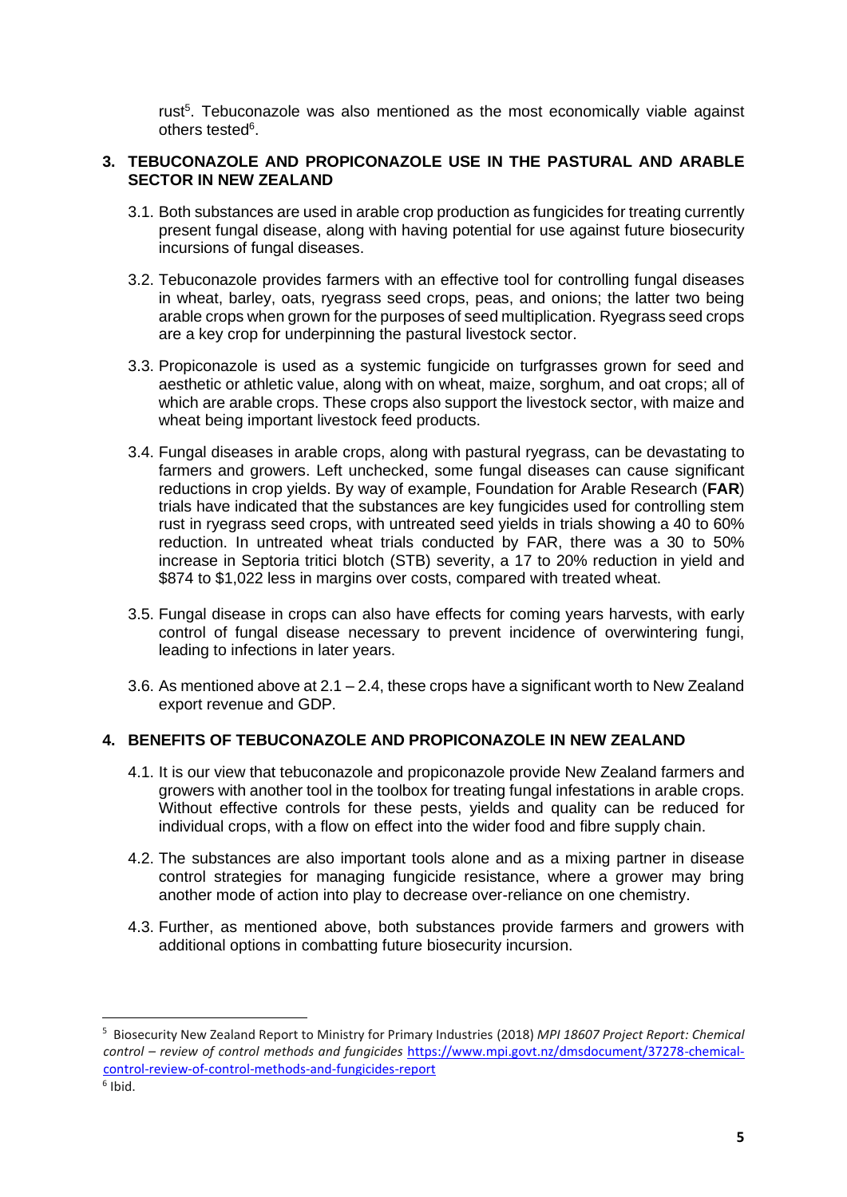rust<sup>5</sup>. Tebuconazole was also mentioned as the most economically viable against others tested<sup>6</sup>.

#### **3. TEBUCONAZOLE AND PROPICONAZOLE USE IN THE PASTURAL AND ARABLE SECTOR IN NEW ZEALAND**

- 3.1. Both substances are used in arable crop production as fungicides for treating currently present fungal disease, along with having potential for use against future biosecurity incursions of fungal diseases.
- 3.2. Tebuconazole provides farmers with an effective tool for controlling fungal diseases in wheat, barley, oats, ryegrass seed crops, peas, and onions; the latter two being arable crops when grown for the purposes of seed multiplication. Ryegrass seed crops are a key crop for underpinning the pastural livestock sector.
- 3.3. Propiconazole is used as a systemic fungicide on turfgrasses grown for seed and aesthetic or athletic value, along with on wheat, maize, sorghum, and oat crops; all of which are arable crops. These crops also support the livestock sector, with maize and wheat being important livestock feed products.
- 3.4. Fungal diseases in arable crops, along with pastural ryegrass, can be devastating to farmers and growers. Left unchecked, some fungal diseases can cause significant reductions in crop yields. By way of example, Foundation for Arable Research (**FAR**) trials have indicated that the substances are key fungicides used for controlling stem rust in ryegrass seed crops, with untreated seed yields in trials showing a 40 to 60% reduction. In untreated wheat trials conducted by FAR, there was a 30 to 50% increase in Septoria tritici blotch (STB) severity, a 17 to 20% reduction in yield and \$874 to \$1,022 less in margins over costs, compared with treated wheat.
- 3.5. Fungal disease in crops can also have effects for coming years harvests, with early control of fungal disease necessary to prevent incidence of overwintering fungi, leading to infections in later years.
- 3.6. As mentioned above at 2.1 2.4, these crops have a significant worth to New Zealand export revenue and GDP.

## **4. BENEFITS OF TEBUCONAZOLE AND PROPICONAZOLE IN NEW ZEALAND**

- 4.1. It is our view that tebuconazole and propiconazole provide New Zealand farmers and growers with another tool in the toolbox for treating fungal infestations in arable crops. Without effective controls for these pests, yields and quality can be reduced for individual crops, with a flow on effect into the wider food and fibre supply chain.
- 4.2. The substances are also important tools alone and as a mixing partner in disease control strategies for managing fungicide resistance, where a grower may bring another mode of action into play to decrease over-reliance on one chemistry.
- 4.3. Further, as mentioned above, both substances provide farmers and growers with additional options in combatting future biosecurity incursion.

<sup>5</sup> Biosecurity New Zealand Report to Ministry for Primary Industries (2018) *MPI 18607 Project Report: Chemical control – review of control methods and fungicides* [https://www.mpi.govt.nz/dmsdocument/37278-chemical](https://www.mpi.govt.nz/dmsdocument/37278-chemical-control-review-of-control-methods-and-fungicides-report)[control-review-of-control-methods-and-fungicides-report](https://www.mpi.govt.nz/dmsdocument/37278-chemical-control-review-of-control-methods-and-fungicides-report)

<sup>6</sup> Ibid.